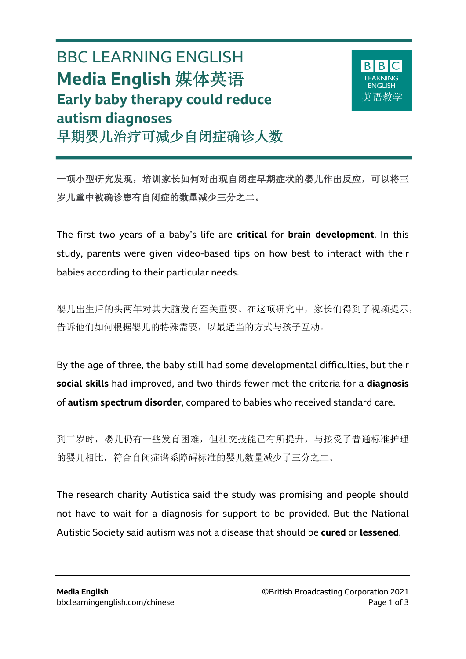# BBC LEARNING ENGLISH **Media English** 媒体英语 **Early baby therapy could reduce autism diagnoses** 早期婴儿治疗可减少自闭症确诊人数

 $\overline{a}$ 



一项小型研究发现,培训家长如何对出现自闭症早期症状的婴儿作出反应,可以将三 岁儿童中被确诊患有自闭症的数量减少三分之二。

The first two years of a baby's life are **critical** for **brain development**. In this study, parents were given video-based tips on how best to interact with their babies according to their particular needs.

婴儿出生后的头两年对其大脑发育至关重要。在这项研究中,家长们得到了视频提示, 告诉他们如何根据婴儿的特殊需要,以最适当的方式与孩子互动。

By the age of three, the baby still had some developmental difficulties, but their **social skills** had improved, and two thirds fewer met the criteria for a **diagnosis**  of **autism spectrum disorder**, compared to babies who received standard care.

到三岁时,婴儿仍有一些发育困难,但社交技能已有所提升,与接受了普通标准护理 的婴儿相比,符合自闭症谱系障碍标准的婴儿数量减少了三分之二。

The research charity Autistica said the study was promising and people should not have to wait for a diagnosis for support to be provided. But the National Autistic Society said autism was not a disease that should be **cured** or **lessened**.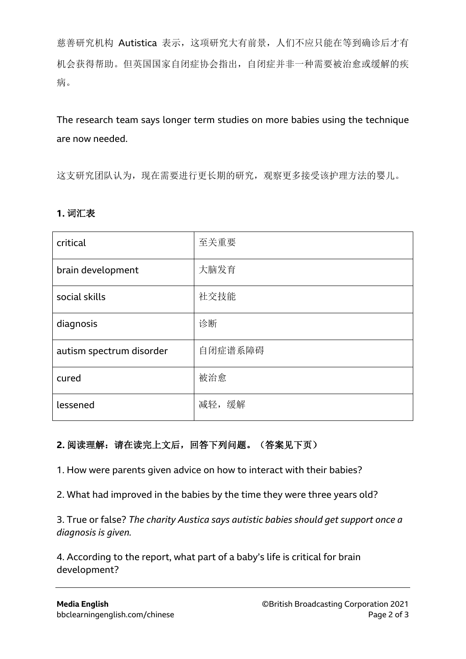慈善研究机构 Autistica 表示,这项研究大有前景,人们不应只能在等到确诊后才有 机会获得帮助。但英国国家自闭症协会指出,自闭症并非一种需要被治愈或缓解的疾 病。

The research team says longer term studies on more babies using the technique are now needed.

这支研究团队认为,现在需要进行更长期的研究,观察更多接受该护理方法的婴儿。

### **1.** 词汇表

| critical                 | 至关重要    |
|--------------------------|---------|
| brain development        | 大脑发育    |
| social skills            | 社交技能    |
| diagnosis                | 诊断      |
| autism spectrum disorder | 自闭症谱系障碍 |
| cured                    | 被治愈     |
| lessened                 | 减轻,缓解   |

### **2.** 阅读理解:请在读完上文后,回答下列问题。(答案见下页)

1. How were parents given advice on how to interact with their babies?

2. What had improved in the babies by the time they were three years old?

3. True or false? *The charity Austica says autistic babies should get support once a diagnosis is given.*

4. According to the report, what part of a baby's life is critical for brain development?